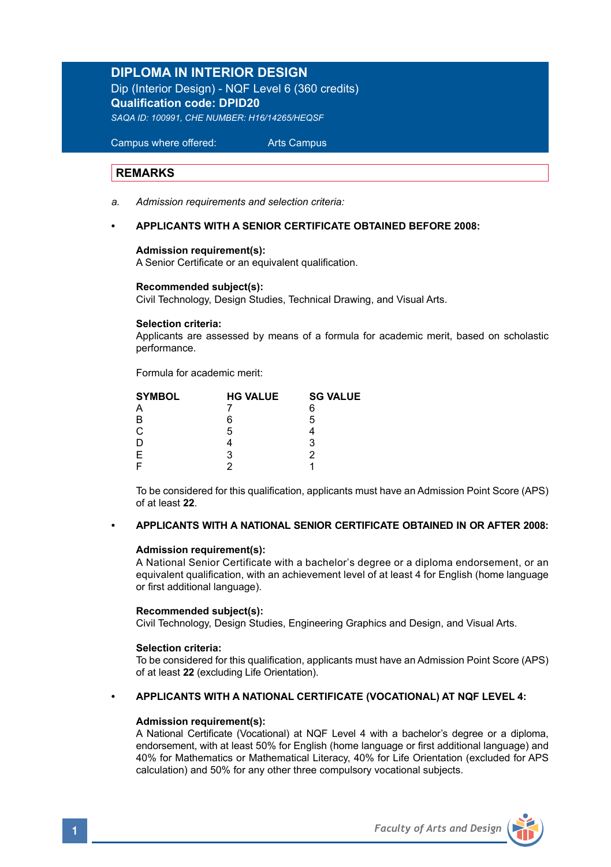## **DIPLOMA IN INTERIOR DESIGN**

Dip (Interior Design) - NQF Level 6 (360 credits) **Qualification code: DPID20** *SAQA ID: 100991, CHE NUMBER: H16/14265/HEQSF*

 Campus where offered: Arts Campus

## **REMARKS**

*a. Admission requirements and selection criteria:* 

#### **• APPLICANTS WITH A SENIOR CERTIFICATE OBTAINED BEFORE 2008:**

#### **Admission requirement(s):**

A Senior Certificate or an equivalent qualification.

#### **Recommended subject(s):**

Civil Technology, Design Studies, Technical Drawing, and Visual Arts.

#### **Selection criteria:**

Applicants are assessed by means of a formula for academic merit, based on scholastic performance.

Formula for academic merit:

| <b>SYMBOL</b> | <b>HG VALUE</b> | <b>SG VALUE</b> |  |
|---------------|-----------------|-----------------|--|
|               |                 | 6               |  |
| B             | 6               | 5               |  |
| $\bar{c}$     | 5               |                 |  |
| D             |                 | 3               |  |
| $\mathsf E$   | 3               |                 |  |
|               |                 |                 |  |

To be considered for this qualification, applicants must have an Admission Point Score (APS) of at least **22**.

### **• APPLICANTS WITH A NATIONAL SENIOR CERTIFICATE OBTAINED IN OR AFTER 2008:**

### **Admission requirement(s):**

A National Senior Certificate with a bachelor's degree or a diploma endorsement, or an equivalent qualification, with an achievement level of at least 4 for English (home language or first additional language).

#### **Recommended subject(s):**

Civil Technology, Design Studies, Engineering Graphics and Design, and Visual Arts.

### **Selection criteria:**

To be considered for this qualification, applicants must have an Admission Point Score (APS) of at least **22** (excluding Life Orientation).

## **• APPLICANTS WITH A NATIONAL CERTIFICATE (VOCATIONAL) AT NQF LEVEL 4:**

#### **Admission requirement(s):**

A National Certificate (Vocational) at NQF Level 4 with a bachelor's degree or a diploma, endorsement, with at least 50% for English (home language or first additional language) and 40% for Mathematics or Mathematical Literacy, 40% for Life Orientation (excluded for APS calculation) and 50% for any other three compulsory vocational subjects.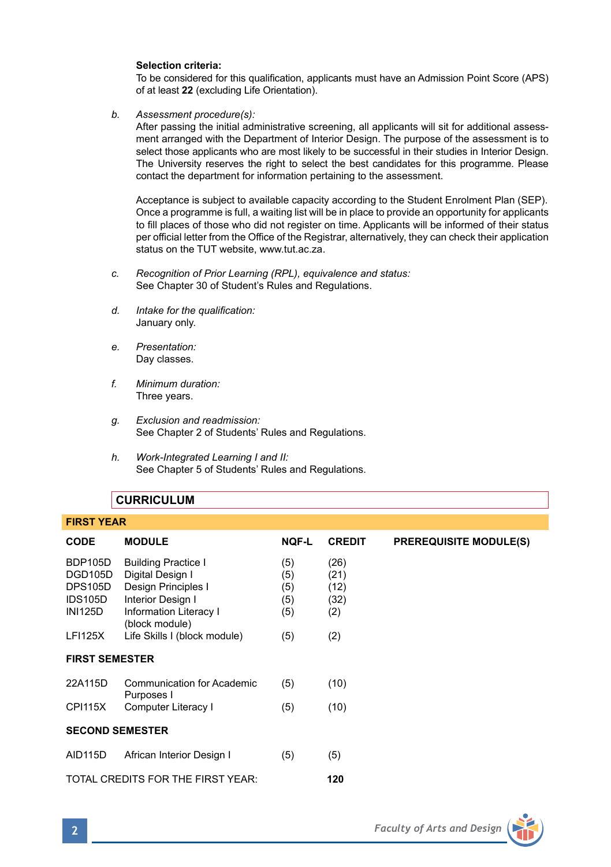### **Selection criteria:**

To be considered for this qualification, applicants must have an Admission Point Score (APS) of at least **22** (excluding Life Orientation).

*b. Assessment procedure(s):* 

After passing the initial administrative screening, all applicants will sit for additional assessment arranged with the Department of Interior Design. The purpose of the assessment is to select those applicants who are most likely to be successful in their studies in Interior Design. The University reserves the right to select the best candidates for this programme. Please contact the department for information pertaining to the assessment.

Acceptance is subject to available capacity according to the Student Enrolment Plan (SEP). Once a programme is full, a waiting list will be in place to provide an opportunity for applicants to fill places of those who did not register on time. Applicants will be informed of their status per official letter from the Office of the Registrar, alternatively, they can check their application status on the TUT website, www.tut.ac.za.

- *c. Recognition of Prior Learning (RPL), equivalence and status:* See Chapter 30 of Student's Rules and Regulations.
- *d. Intake for the qualification:* January only.
- *e. Presentation:* Day classes.
- *f. Minimum duration:* Three years.
- *g. Exclusion and readmission:* See Chapter 2 of Students' Rules and Regulations.
- *h. Work-Integrated Learning I and II:*  See Chapter 5 of Students' Rules and Regulations.

## **CURRICULUM**

## **FIRST YEAR**

| <b>CODE</b>            | <b>MODULE</b>                            | <b>NQF-L</b> | <b>CREDIT</b> | <b>PREREQUISITE MODULE(S)</b> |
|------------------------|------------------------------------------|--------------|---------------|-------------------------------|
| <b>BDP105D</b>         | <b>Building Practice I</b>               | (5)          | (26)          |                               |
| DGD105D                | Digital Design I                         | (5)          | (21)          |                               |
| <b>DPS105D</b>         | Design Principles I                      | (5)          | (12)          |                               |
| IDS105D                | Interior Design I                        | (5)          | (32)          |                               |
| <b>INI125D</b>         | Information Literacy I<br>(block module) | (5)          | (2)           |                               |
| <b>LFI125X</b>         | Life Skills I (block module)             | (5)          | (2)           |                               |
| <b>FIRST SEMESTER</b>  |                                          |              |               |                               |
| 22A115D                | Communication for Academic<br>Purposes I | (5)          | (10)          |                               |
| <b>CPI115X</b>         | Computer Literacy I                      | (5)          | (10)          |                               |
| <b>SECOND SEMESTER</b> |                                          |              |               |                               |
| <b>AID115D</b>         | African Interior Design I                | (5)          | (5)           |                               |
|                        | TOTAL CREDITS FOR THE FIRST YEAR:        |              | 120           |                               |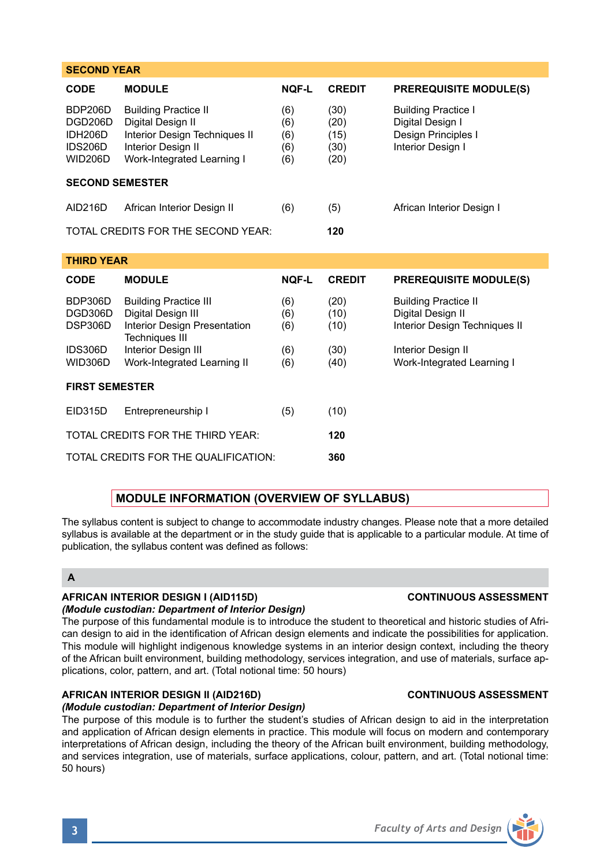| <b>SECOND SEMESTER</b>                                                                                                                                                                                                                                                                          |                                                                                                                                                                          |                                 |                                      |                                                                                                                                       |  |  |  |
|-------------------------------------------------------------------------------------------------------------------------------------------------------------------------------------------------------------------------------------------------------------------------------------------------|--------------------------------------------------------------------------------------------------------------------------------------------------------------------------|---------------------------------|--------------------------------------|---------------------------------------------------------------------------------------------------------------------------------------|--|--|--|
| AID216D                                                                                                                                                                                                                                                                                         | African Interior Design II                                                                                                                                               | (6)                             | (5)                                  | African Interior Design I                                                                                                             |  |  |  |
| TOTAL CREDITS FOR THE SECOND YEAR:                                                                                                                                                                                                                                                              |                                                                                                                                                                          |                                 | 120                                  |                                                                                                                                       |  |  |  |
| <b>THIRD YEAR</b>                                                                                                                                                                                                                                                                               |                                                                                                                                                                          |                                 |                                      |                                                                                                                                       |  |  |  |
| <b>CODE</b>                                                                                                                                                                                                                                                                                     | <b>MODULE</b>                                                                                                                                                            | <b>NOF-L</b>                    | <b>CREDIT</b>                        | <b>PREREQUISITE MODULE(S)</b>                                                                                                         |  |  |  |
| BDP306D<br>DGD306D<br>DSP306D<br>IDS306D<br>WID306D                                                                                                                                                                                                                                             | <b>Building Practice III</b><br>Digital Design III<br><b>Interior Design Presentation</b><br><b>Techniques III</b><br>Interior Design III<br>Work-Integrated Learning II | (6)<br>(6)<br>(6)<br>(6)<br>(6) | (20)<br>(10)<br>(10)<br>(30)<br>(40) | <b>Building Practice II</b><br>Digital Design II<br>Interior Design Techniques II<br>Interior Design II<br>Work-Integrated Learning I |  |  |  |
| <b>FIRST SEMESTER</b>                                                                                                                                                                                                                                                                           |                                                                                                                                                                          |                                 |                                      |                                                                                                                                       |  |  |  |
| EID315D                                                                                                                                                                                                                                                                                         | Entrepreneurship I                                                                                                                                                       | (5)                             | (10)                                 |                                                                                                                                       |  |  |  |
| TOTAL CREDITS FOR THE THIRD YEAR:                                                                                                                                                                                                                                                               |                                                                                                                                                                          |                                 | 120                                  |                                                                                                                                       |  |  |  |
|                                                                                                                                                                                                                                                                                                 | TOTAL CREDITS FOR THE QUALIFICATION:                                                                                                                                     |                                 | 360                                  |                                                                                                                                       |  |  |  |
|                                                                                                                                                                                                                                                                                                 |                                                                                                                                                                          |                                 |                                      |                                                                                                                                       |  |  |  |
| <b>MODULE INFORMATION (OVERVIEW OF SYLLABUS)</b>                                                                                                                                                                                                                                                |                                                                                                                                                                          |                                 |                                      |                                                                                                                                       |  |  |  |
| The syllabus content is subject to change to accommodate industry changes. Please note that a more detailed<br>syllabus is available at the department or in the study guide that is applicable to a particular module. At time of<br>publication, the syllabus content was defined as follows: |                                                                                                                                                                          |                                 |                                      |                                                                                                                                       |  |  |  |

**CODE MODULE NQF-L CREDIT PREREQUISITE MODULE(S)**

BDP206D Building Practice II (6) (30) Building Practice I<br>DGD206D Digital Design II (6) (20) Digital Design I DGD206D Digital Design II (6) (20) Digital Design I

IDS206D Interior Design II (6) (30) Interior Design I<br>WID206D Work-Integrated Learning I (6) (20)

Interior Design Techniques II

Work-Integrated Learning I

## **A**

**SECOND YEAR** 

# **AFRICAN INTERIOR DESIGN I (AID115D) CONTINUOUS ASSESSMENT**

## *(Module custodian: Department of Interior Design)*

The purpose of this fundamental module is to introduce the student to theoretical and historic studies of African design to aid in the identification of African design elements and indicate the possibilities for application. This module will highlight indigenous knowledge systems in an interior design context, including the theory of the African built environment, building methodology, services integration, and use of materials, surface applications, color, pattern, and art. (Total notional time: 50 hours)

# **AFRICAN INTERIOR DESIGN II (AID216D) CONTINUOUS ASSESSMENT**

## *(Module custodian: Department of Interior Design)*

The purpose of this module is to further the student's studies of African design to aid in the interpretation and application of African design elements in practice. This module will focus on modern and contemporary interpretations of African design, including the theory of the African built environment, building methodology, and services integration, use of materials, surface applications, colour, pattern, and art. (Total notional time: 50 hours)

# **3** *Faculty of Arts and Design*

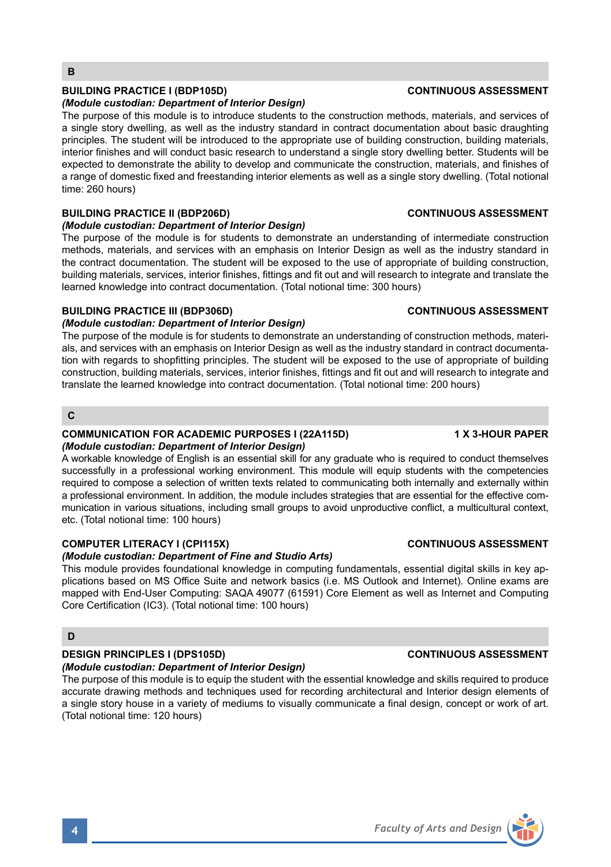## **BUILDING PRACTICE I (BDP105D) CONTINUOUS ASSESSMENT**

### *(Module custodian: Department of Interior Design)*

The purpose of this module is to introduce students to the construction methods, materials, and services of a single story dwelling, as well as the industry standard in contract documentation about basic draughting principles. The student will be introduced to the appropriate use of building construction, building materials, interior finishes and will conduct basic research to understand a single story dwelling better. Students will be expected to demonstrate the ability to develop and communicate the construction, materials, and finishes of a range of domestic fixed and freestanding interior elements as well as a single story dwelling. (Total notional time: 260 hours)

## **BUILDING PRACTICE II (BDP206D) CONTINUOUS ASSESSMENT**

#### *(Module custodian: Department of Interior Design)*

The purpose of the module is for students to demonstrate an understanding of intermediate construction methods, materials, and services with an emphasis on Interior Design as well as the industry standard in the contract documentation. The student will be exposed to the use of appropriate of building construction, building materials, services, interior finishes, fittings and fit out and will research to integrate and translate the learned knowledge into contract documentation. (Total notional time: 300 hours)

## **BUILDING PRACTICE III (BDP306D) CONTINUOUS ASSESSMENT**

### *(Module custodian: Department of Interior Design)*

The purpose of the module is for students to demonstrate an understanding of construction methods, materials, and services with an emphasis on Interior Design as well as the industry standard in contract documentation with regards to shopfitting principles. The student will be exposed to the use of appropriate of building construction, building materials, services, interior finishes, fittings and fit out and will research to integrate and translate the learned knowledge into contract documentation. (Total notional time: 200 hours)

### **C**

#### **COMMUNICATION FOR ACADEMIC PURPOSES I (22A115D) 1 X 3-HOUR PAPER** *(Module custodian: Department of Interior Design)*

A workable knowledge of English is an essential skill for any graduate who is required to conduct themselves successfully in a professional working environment. This module will equip students with the competencies required to compose a selection of written texts related to communicating both internally and externally within a professional environment. In addition, the module includes strategies that are essential for the effective communication in various situations, including small groups to avoid unproductive conflict, a multicultural context, etc. (Total notional time: 100 hours)

## **COMPUTER LITERACY I (CPI115X) CONTINUOUS ASSESSMENT**

### *(Module custodian: Department of Fine and Studio Arts)*

This module provides foundational knowledge in computing fundamentals, essential digital skills in key applications based on MS Office Suite and network basics (i.e. MS Outlook and Internet). Online exams are mapped with End-User Computing: SAQA 49077 (61591) Core Element as well as Internet and Computing Core Certification (IC3). (Total notional time: 100 hours)

### **D**

### **DESIGN PRINCIPLES I (DPS105D) CONTINUOUS ASSESSMENT**

*(Module custodian: Department of Interior Design)* The purpose of this module is to equip the student with the essential knowledge and skills required to produce accurate drawing methods and techniques used for recording architectural and Interior design elements of a single story house in a variety of mediums to visually communicate a final design, concept or work of art. (Total notional time: 120 hours)

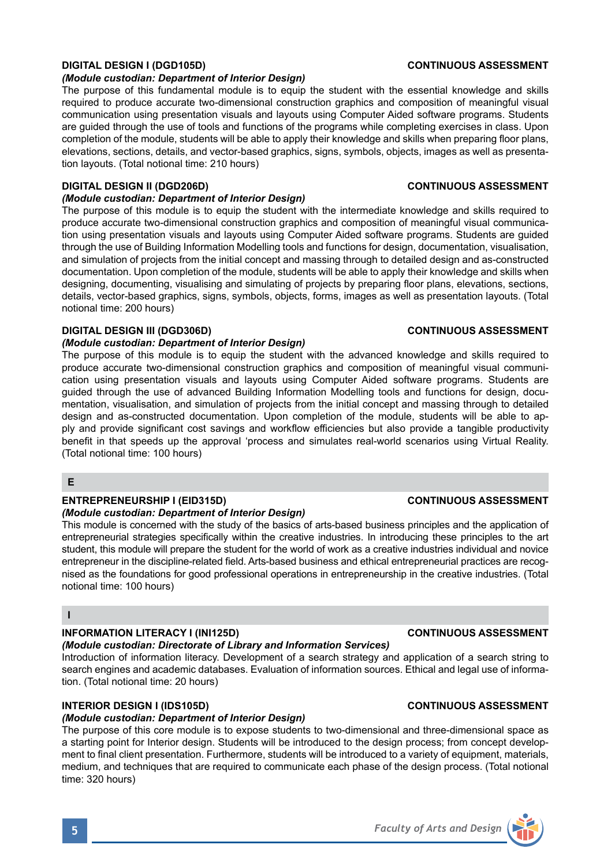## **DIGITAL DESIGN I (DGD105D) CONTINUOUS ASSESSMENT**

#### *(Module custodian: Department of Interior Design)*

The purpose of this fundamental module is to equip the student with the essential knowledge and skills required to produce accurate two-dimensional construction graphics and composition of meaningful visual communication using presentation visuals and layouts using Computer Aided software programs. Students are guided through the use of tools and functions of the programs while completing exercises in class. Upon completion of the module, students will be able to apply their knowledge and skills when preparing floor plans, elevations, sections, details, and vector-based graphics, signs, symbols, objects, images as well as presentation layouts. (Total notional time: 210 hours)

### **DIGITAL DESIGN II (DGD206D) CONTINUOUS ASSESSMENT**

### *(Module custodian: Department of Interior Design)*

The purpose of this module is to equip the student with the intermediate knowledge and skills required to produce accurate two-dimensional construction graphics and composition of meaningful visual communication using presentation visuals and layouts using Computer Aided software programs. Students are guided through the use of Building Information Modelling tools and functions for design, documentation, visualisation, and simulation of projects from the initial concept and massing through to detailed design and as-constructed documentation. Upon completion of the module, students will be able to apply their knowledge and skills when designing, documenting, visualising and simulating of projects by preparing floor plans, elevations, sections, details, vector-based graphics, signs, symbols, objects, forms, images as well as presentation layouts. (Total notional time: 200 hours)

## **DIGITAL DESIGN III (DGD306D) CONTINUOUS ASSESSMENT**

### *(Module custodian: Department of Interior Design)*

The purpose of this module is to equip the student with the advanced knowledge and skills required to produce accurate two-dimensional construction graphics and composition of meaningful visual communication using presentation visuals and layouts using Computer Aided software programs. Students are guided through the use of advanced Building Information Modelling tools and functions for design, documentation, visualisation, and simulation of projects from the initial concept and massing through to detailed design and as-constructed documentation. Upon completion of the module, students will be able to apply and provide significant cost savings and workflow efficiencies but also provide a tangible productivity benefit in that speeds up the approval 'process and simulates real-world scenarios using Virtual Reality. (Total notional time: 100 hours)

#### **E**

## **ENTREPRENEURSHIP I (EID315D) CONTINUOUS ASSESSMENT**

#### *(Module custodian: Department of Interior Design)*

This module is concerned with the study of the basics of arts-based business principles and the application of entrepreneurial strategies specifically within the creative industries. In introducing these principles to the art student, this module will prepare the student for the world of work as a creative industries individual and novice entrepreneur in the discipline-related field. Arts-based business and ethical entrepreneurial practices are recognised as the foundations for good professional operations in entrepreneurship in the creative industries. (Total notional time: 100 hours)

### **I**

## **INFORMATION LITERACY I (INI125D) CONTINUOUS ASSESSMENT**

## *(Module custodian: Directorate of Library and Information Services)*

Introduction of information literacy. Development of a search strategy and application of a search string to search engines and academic databases. Evaluation of information sources. Ethical and legal use of information. (Total notional time: 20 hours)

## **INTERIOR DESIGN I (IDS105D) CONTINUOUS ASSESSMENT**

## *(Module custodian: Department of Interior Design)*

The purpose of this core module is to expose students to two-dimensional and three-dimensional space as a starting point for Interior design. Students will be introduced to the design process; from concept development to final client presentation. Furthermore, students will be introduced to a variety of equipment, materials, medium, and techniques that are required to communicate each phase of the design process. (Total notional time: 320 hours)